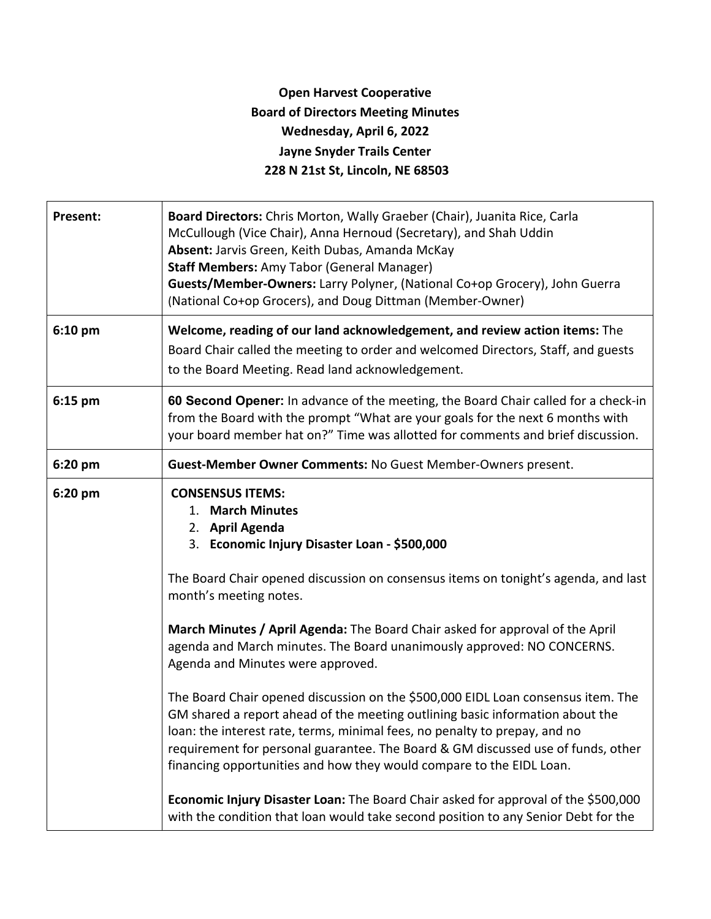## **Open Harvest Cooperative Board of Directors Meeting Minutes Wednesday, April 6, 2022 Jayne Snyder Trails Center 228 N 21st St, Lincoln, NE 68503**

| Board Directors: Chris Morton, Wally Graeber (Chair), Juanita Rice, Carla<br>McCullough (Vice Chair), Anna Hernoud (Secretary), and Shah Uddin<br>Absent: Jarvis Green, Keith Dubas, Amanda McKay<br><b>Staff Members: Amy Tabor (General Manager)</b><br>Guests/Member-Owners: Larry Polyner, (National Co+op Grocery), John Guerra<br>(National Co+op Grocers), and Doug Dittman (Member-Owner)                                                                                                                                                                                                                                                                                                                                                                                                                                                                                                                                   |
|-------------------------------------------------------------------------------------------------------------------------------------------------------------------------------------------------------------------------------------------------------------------------------------------------------------------------------------------------------------------------------------------------------------------------------------------------------------------------------------------------------------------------------------------------------------------------------------------------------------------------------------------------------------------------------------------------------------------------------------------------------------------------------------------------------------------------------------------------------------------------------------------------------------------------------------|
| Welcome, reading of our land acknowledgement, and review action items: The<br>Board Chair called the meeting to order and welcomed Directors, Staff, and guests<br>to the Board Meeting. Read land acknowledgement.                                                                                                                                                                                                                                                                                                                                                                                                                                                                                                                                                                                                                                                                                                                 |
| 60 Second Opener: In advance of the meeting, the Board Chair called for a check-in<br>from the Board with the prompt "What are your goals for the next 6 months with<br>your board member hat on?" Time was allotted for comments and brief discussion.                                                                                                                                                                                                                                                                                                                                                                                                                                                                                                                                                                                                                                                                             |
| Guest-Member Owner Comments: No Guest Member-Owners present.                                                                                                                                                                                                                                                                                                                                                                                                                                                                                                                                                                                                                                                                                                                                                                                                                                                                        |
| <b>CONSENSUS ITEMS:</b><br>1. March Minutes<br>2. April Agenda<br>3. Economic Injury Disaster Loan - \$500,000<br>The Board Chair opened discussion on consensus items on tonight's agenda, and last<br>month's meeting notes.<br>March Minutes / April Agenda: The Board Chair asked for approval of the April<br>agenda and March minutes. The Board unanimously approved: NO CONCERNS.<br>Agenda and Minutes were approved.<br>The Board Chair opened discussion on the \$500,000 EIDL Loan consensus item. The<br>GM shared a report ahead of the meeting outlining basic information about the<br>loan: the interest rate, terms, minimal fees, no penalty to prepay, and no<br>requirement for personal guarantee. The Board & GM discussed use of funds, other<br>financing opportunities and how they would compare to the EIDL Loan.<br>Economic Injury Disaster Loan: The Board Chair asked for approval of the \$500,000 |
|                                                                                                                                                                                                                                                                                                                                                                                                                                                                                                                                                                                                                                                                                                                                                                                                                                                                                                                                     |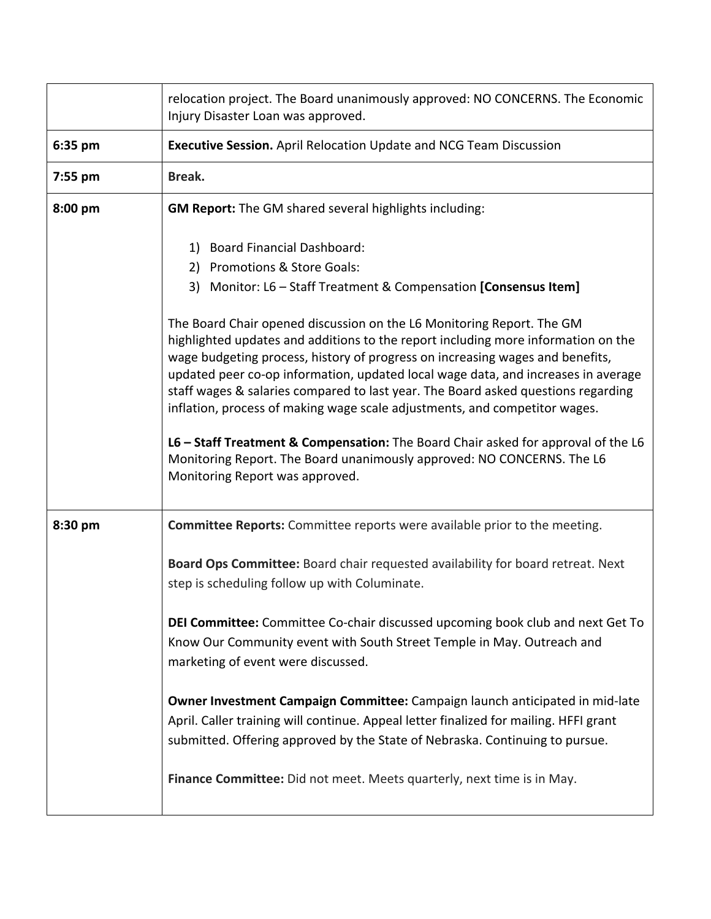|         | relocation project. The Board unanimously approved: NO CONCERNS. The Economic<br>Injury Disaster Loan was approved.                                                                                                                                                                                                                                                                                                                                                                                                                                                                                                                                                                                                                                                                                                                        |
|---------|--------------------------------------------------------------------------------------------------------------------------------------------------------------------------------------------------------------------------------------------------------------------------------------------------------------------------------------------------------------------------------------------------------------------------------------------------------------------------------------------------------------------------------------------------------------------------------------------------------------------------------------------------------------------------------------------------------------------------------------------------------------------------------------------------------------------------------------------|
| 6:35 pm | <b>Executive Session.</b> April Relocation Update and NCG Team Discussion                                                                                                                                                                                                                                                                                                                                                                                                                                                                                                                                                                                                                                                                                                                                                                  |
| 7:55 pm | Break.                                                                                                                                                                                                                                                                                                                                                                                                                                                                                                                                                                                                                                                                                                                                                                                                                                     |
| 8:00 pm | <b>GM Report:</b> The GM shared several highlights including:                                                                                                                                                                                                                                                                                                                                                                                                                                                                                                                                                                                                                                                                                                                                                                              |
|         | 1) Board Financial Dashboard:<br>2) Promotions & Store Goals:<br>3) Monitor: L6 - Staff Treatment & Compensation [Consensus Item]<br>The Board Chair opened discussion on the L6 Monitoring Report. The GM<br>highlighted updates and additions to the report including more information on the<br>wage budgeting process, history of progress on increasing wages and benefits,<br>updated peer co-op information, updated local wage data, and increases in average<br>staff wages & salaries compared to last year. The Board asked questions regarding<br>inflation, process of making wage scale adjustments, and competitor wages.<br>L6 - Staff Treatment & Compensation: The Board Chair asked for approval of the L6<br>Monitoring Report. The Board unanimously approved: NO CONCERNS. The L6<br>Monitoring Report was approved. |
| 8:30 pm | <b>Committee Reports:</b> Committee reports were available prior to the meeting.                                                                                                                                                                                                                                                                                                                                                                                                                                                                                                                                                                                                                                                                                                                                                           |
|         | Board Ops Committee: Board chair requested availability for board retreat. Next<br>step is scheduling follow up with Columinate.                                                                                                                                                                                                                                                                                                                                                                                                                                                                                                                                                                                                                                                                                                           |
|         | DEI Committee: Committee Co-chair discussed upcoming book club and next Get To<br>Know Our Community event with South Street Temple in May. Outreach and<br>marketing of event were discussed.                                                                                                                                                                                                                                                                                                                                                                                                                                                                                                                                                                                                                                             |
|         | Owner Investment Campaign Committee: Campaign launch anticipated in mid-late<br>April. Caller training will continue. Appeal letter finalized for mailing. HFFI grant<br>submitted. Offering approved by the State of Nebraska. Continuing to pursue.                                                                                                                                                                                                                                                                                                                                                                                                                                                                                                                                                                                      |
|         | Finance Committee: Did not meet. Meets quarterly, next time is in May.                                                                                                                                                                                                                                                                                                                                                                                                                                                                                                                                                                                                                                                                                                                                                                     |